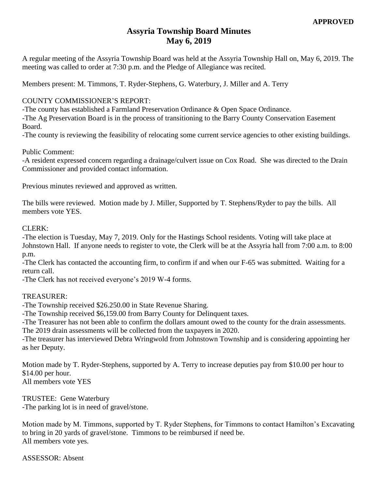# **Assyria Township Board Minutes May 6, 2019**

A regular meeting of the Assyria Township Board was held at the Assyria Township Hall on, May 6, 2019. The meeting was called to order at 7:30 p.m. and the Pledge of Allegiance was recited.

Members present: M. Timmons, T. Ryder-Stephens, G. Waterbury, J. Miller and A. Terry

## COUNTY COMMISSIONER'S REPORT:

-The county has established a Farmland Preservation Ordinance & Open Space Ordinance.

-The Ag Preservation Board is in the process of transitioning to the Barry County Conservation Easement Board.

-The county is reviewing the feasibility of relocating some current service agencies to other existing buildings.

## Public Comment:

-A resident expressed concern regarding a drainage/culvert issue on Cox Road. She was directed to the Drain Commissioner and provided contact information.

Previous minutes reviewed and approved as written.

The bills were reviewed. Motion made by J. Miller, Supported by T. Stephens/Ryder to pay the bills. All members vote YES.

#### CLERK:

-The election is Tuesday, May 7, 2019. Only for the Hastings School residents. Voting will take place at Johnstown Hall. If anyone needs to register to vote, the Clerk will be at the Assyria hall from 7:00 a.m. to 8:00 p.m.

-The Clerk has contacted the accounting firm, to confirm if and when our F-65 was submitted. Waiting for a return call.

-The Clerk has not received everyone's 2019 W-4 forms.

## TREASURER:

-The Township received \$26.250.00 in State Revenue Sharing.

-The Township received \$6,159.00 from Barry County for Delinquent taxes.

-The Treasurer has not been able to confirm the dollars amount owed to the county for the drain assessments. The 2019 drain assessments will be collected from the taxpayers in 2020.

-The treasurer has interviewed Debra Wringwold from Johnstown Township and is considering appointing her as her Deputy.

Motion made by T. Ryder-Stephens, supported by A. Terry to increase deputies pay from \$10.00 per hour to \$14.00 per hour. All members vote YES

TRUSTEE: Gene Waterbury -The parking lot is in need of gravel/stone.

Motion made by M. Timmons, supported by T. Ryder Stephens, for Timmons to contact Hamilton's Excavating to bring in 20 yards of gravel/stone. Timmons to be reimbursed if need be. All members vote yes.

ASSESSOR: Absent